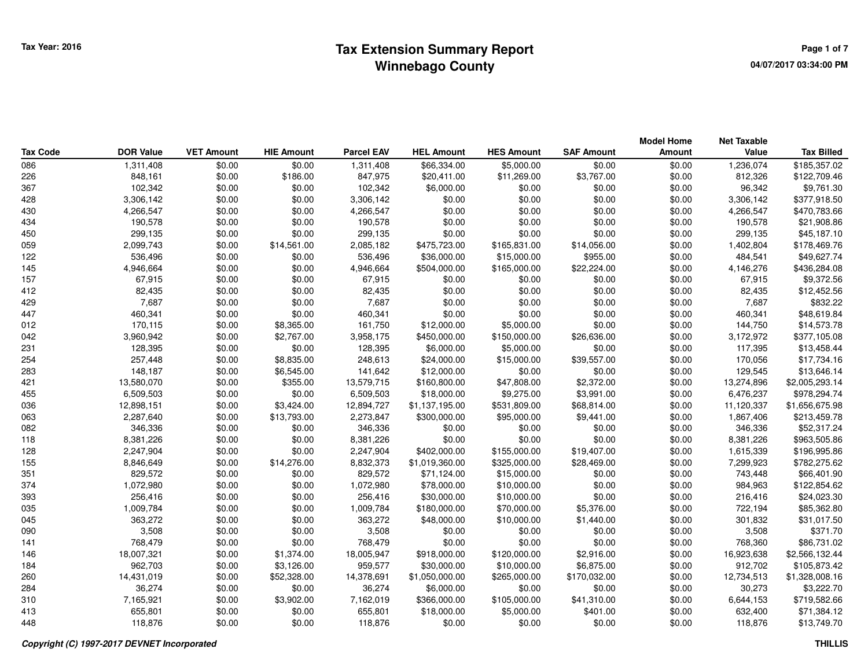|                 |                  |                   |                   |                   |                   |                   |                   | <b>Model Home</b> | <b>Net Taxable</b> |                   |
|-----------------|------------------|-------------------|-------------------|-------------------|-------------------|-------------------|-------------------|-------------------|--------------------|-------------------|
| <b>Tax Code</b> | <b>DOR Value</b> | <b>VET Amount</b> | <b>HIE Amount</b> | <b>Parcel EAV</b> | <b>HEL Amount</b> | <b>HES Amount</b> | <b>SAF Amount</b> | Amount            | Value              | <b>Tax Billed</b> |
| 086             | 1,311,408        | \$0.00            | \$0.00            | 1,311,408         | \$66,334.00       | \$5,000.00        | \$0.00            | \$0.00            | 1,236,074          | \$185,357.02      |
| 226             | 848,161          | \$0.00            | \$186.00          | 847,975           | \$20,411.00       | \$11,269.00       | \$3,767.00        | \$0.00            | 812,326            | \$122,709.46      |
| 367             | 102,342          | \$0.00            | \$0.00            | 102,342           | \$6,000.00        | \$0.00            | \$0.00            | \$0.00            | 96,342             | \$9,761.30        |
| 428             | 3,306,142        | \$0.00            | \$0.00            | 3,306,142         | \$0.00            | \$0.00            | \$0.00            | \$0.00            | 3,306,142          | \$377,918.50      |
| 430             | 4,266,547        | \$0.00            | \$0.00            | 4,266,547         | \$0.00            | \$0.00            | \$0.00            | \$0.00            | 4,266,547          | \$470,783.66      |
| 434             | 190,578          | \$0.00            | \$0.00            | 190,578           | \$0.00            | \$0.00            | \$0.00            | \$0.00            | 190,578            | \$21,908.86       |
| 450             | 299,135          | \$0.00            | \$0.00            | 299,135           | \$0.00            | \$0.00            | \$0.00            | \$0.00            | 299,135            | \$45,187.10       |
| 059             | 2,099,743        | \$0.00            | \$14,561.00       | 2,085,182         | \$475,723.00      | \$165,831.00      | \$14,056.00       | \$0.00            | 1,402,804          | \$178,469.76      |
| 122             | 536,496          | \$0.00            | \$0.00            | 536,496           | \$36,000.00       | \$15,000.00       | \$955.00          | \$0.00            | 484,541            | \$49,627.74       |
| 145             | 4,946,664        | \$0.00            | \$0.00            | 4,946,664         | \$504,000.00      | \$165,000.00      | \$22,224.00       | \$0.00            | 4,146,276          | \$436,284.08      |
| 157             | 67,915           | \$0.00            | \$0.00            | 67,915            | \$0.00            | \$0.00            | \$0.00            | \$0.00            | 67,915             | \$9,372.56        |
| 412             | 82,435           | \$0.00            | \$0.00            | 82,435            | \$0.00            | \$0.00            | \$0.00            | \$0.00            | 82,435             | \$12,452.56       |
| 429             | 7,687            | \$0.00            | \$0.00            | 7,687             | \$0.00            | \$0.00            | \$0.00            | \$0.00            | 7,687              | \$832.22          |
| 447             | 460,341          | \$0.00            | \$0.00            | 460,341           | \$0.00            | \$0.00            | \$0.00            | \$0.00            | 460,341            | \$48,619.84       |
| 012             | 170,115          | \$0.00            | \$8,365.00        | 161,750           | \$12,000.00       | \$5,000.00        | \$0.00            | \$0.00            | 144,750            | \$14,573.78       |
| 042             | 3,960,942        | \$0.00            | \$2,767.00        | 3,958,175         | \$450,000.00      | \$150,000.00      | \$26,636.00       | \$0.00            | 3,172,972          | \$377,105.08      |
| 231             | 128,395          | \$0.00            | \$0.00            | 128,395           | \$6,000.00        | \$5,000.00        | \$0.00            | \$0.00            | 117,395            | \$13,458.44       |
| 254             | 257,448          | \$0.00            | \$8,835.00        | 248,613           | \$24,000.00       | \$15,000.00       | \$39,557.00       | \$0.00            | 170,056            | \$17,734.16       |
| 283             | 148,187          | \$0.00            | \$6,545.00        | 141,642           | \$12,000.00       | \$0.00            | \$0.00            | \$0.00            | 129,545            | \$13,646.14       |
| 421             | 13,580,070       | \$0.00            | \$355.00          | 13,579,715        | \$160,800.00      | \$47,808.00       | \$2,372.00        | \$0.00            | 13,274,896         | \$2,005,293.14    |
| 455             | 6,509,503        | \$0.00            | \$0.00            | 6,509,503         | \$18,000.00       | \$9,275.00        | \$3,991.00        | \$0.00            | 6,476,237          | \$978,294.74      |
| 036             | 12,898,151       | \$0.00            | \$3,424.00        | 12,894,727        | \$1,137,195.00    | \$531,809.00      | \$68,814.00       | \$0.00            | 11,120,337         | \$1,656,675.98    |
| 063             | 2,287,640        | \$0.00            | \$13,793.00       | 2,273,847         | \$300,000.00      | \$95,000.00       | \$9,441.00        | \$0.00            | 1,867,406          | \$213,459.78      |
| 082             | 346,336          | \$0.00            | \$0.00            | 346,336           | \$0.00            | \$0.00            | \$0.00            | \$0.00            | 346,336            | \$52,317.24       |
| 118             | 8,381,226        | \$0.00            | \$0.00            | 8,381,226         | \$0.00            | \$0.00            | \$0.00            | \$0.00            | 8,381,226          | \$963,505.86      |
| 128             | 2,247,904        | \$0.00            | \$0.00            | 2,247,904         | \$402,000.00      | \$155,000.00      | \$19,407.00       | \$0.00            | 1,615,339          | \$196,995.86      |
| 155             | 8,846,649        | \$0.00            | \$14,276.00       | 8,832,373         | \$1,019,360.00    | \$325,000.00      | \$28,469.00       | \$0.00            | 7,299,923          | \$782,275.62      |
| 351             | 829,572          | \$0.00            | \$0.00            | 829,572           | \$71,124.00       | \$15,000.00       | \$0.00            | \$0.00            | 743,448            | \$66,401.90       |
| 374             | 1,072,980        | \$0.00            | \$0.00            | 1,072,980         | \$78,000.00       | \$10,000.00       | \$0.00            | \$0.00            | 984,963            | \$122,854.62      |
| 393             | 256,416          | \$0.00            | \$0.00            | 256,416           | \$30,000.00       | \$10,000.00       | \$0.00            | \$0.00            | 216,416            | \$24,023.30       |
| 035             | 1,009,784        | \$0.00            | \$0.00            | 1,009,784         | \$180,000.00      | \$70,000.00       | \$5,376.00        | \$0.00            | 722,194            | \$85,362.80       |
| 045             | 363,272          | \$0.00            | \$0.00            | 363,272           | \$48,000.00       | \$10,000.00       | \$1,440.00        | \$0.00            | 301,832            | \$31,017.50       |
| 090             | 3,508            | \$0.00            | \$0.00            | 3,508             | \$0.00            | \$0.00            | \$0.00            | \$0.00            | 3,508              | \$371.70          |
| 141             | 768,479          | \$0.00            | \$0.00            | 768,479           | \$0.00            | \$0.00            | \$0.00            | \$0.00            | 768,360            | \$86,731.02       |
| 146             | 18,007,321       | \$0.00            | \$1,374.00        | 18,005,947        | \$918,000.00      | \$120,000.00      | \$2,916.00        | \$0.00            | 16,923,638         | \$2,566,132.44    |
| 184             | 962,703          | \$0.00            | \$3,126.00        | 959,577           | \$30,000.00       | \$10,000.00       | \$6,875.00        | \$0.00            | 912,702            | \$105,873.42      |
| 260             | 14,431,019       | \$0.00            | \$52,328.00       | 14,378,691        | \$1,050,000.00    | \$265,000.00      | \$170,032.00      | \$0.00            | 12,734,513         | \$1,328,008.16    |
| 284             | 36,274           | \$0.00            | \$0.00            | 36,274            | \$6,000.00        | \$0.00            | \$0.00            | \$0.00            | 30,273             | \$3,222.70        |
| 310             | 7,165,921        | \$0.00            | \$3,902.00        | 7,162,019         | \$366,000.00      | \$105,000.00      | \$41,310.00       | \$0.00            | 6,644,153          | \$719,582.66      |
| 413             | 655,801          | \$0.00            | \$0.00            | 655,801           | \$18,000.00       | \$5,000.00        | \$401.00          | \$0.00            | 632,400            | \$71,384.12       |
| 448             | 118,876          | \$0.00            | \$0.00            | 118,876           | \$0.00            | \$0.00            | \$0.00            | \$0.00            | 118.876            | \$13,749.70       |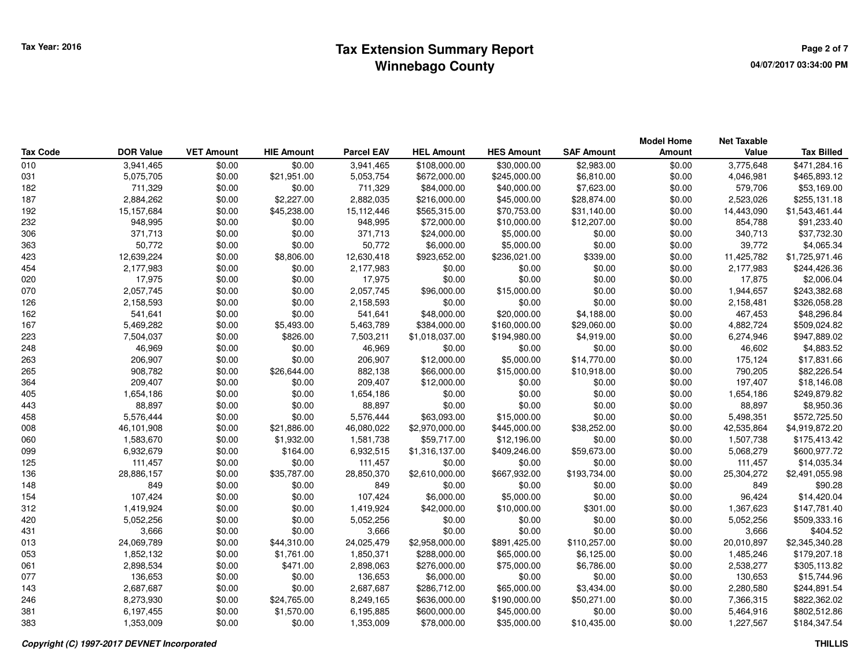## **Tax Extension Summary Report CONSCRUPER ASSESSMENT ASSESSMENT RAGE 2 of 7 Winnebago County**

|                 |                  |                   |                   |                   |                   |                   |                   | <b>Model Home</b> | <b>Net Taxable</b> |                   |
|-----------------|------------------|-------------------|-------------------|-------------------|-------------------|-------------------|-------------------|-------------------|--------------------|-------------------|
| <b>Tax Code</b> | <b>DOR Value</b> | <b>VET Amount</b> | <b>HIE Amount</b> | <b>Parcel EAV</b> | <b>HEL Amount</b> | <b>HES Amount</b> | <b>SAF Amount</b> | Amount            | Value              | <b>Tax Billed</b> |
| 010             | 3,941,465        | \$0.00            | \$0.00            | 3,941,465         | \$108,000.00      | \$30,000.00       | \$2,983.00        | \$0.00            | 3,775,648          | \$471,284.16      |
| 031             | 5,075,705        | \$0.00            | \$21,951.00       | 5,053,754         | \$672,000.00      | \$245,000.00      | \$6,810.00        | \$0.00            | 4,046,981          | \$465,893.12      |
| 182             | 711,329          | \$0.00            | \$0.00            | 711,329           | \$84,000.00       | \$40,000.00       | \$7,623.00        | \$0.00            | 579,706            | \$53,169.00       |
| 187             | 2,884,262        | \$0.00            | \$2,227.00        | 2,882,035         | \$216,000.00      | \$45,000.00       | \$28,874.00       | \$0.00            | 2,523,026          | \$255,131.18      |
| 192             | 15,157,684       | \$0.00            | \$45,238.00       | 15,112,446        | \$565,315.00      | \$70,753.00       | \$31,140.00       | \$0.00            | 14,443,090         | \$1,543,461.44    |
| 232             | 948,995          | \$0.00            | \$0.00            | 948,995           | \$72,000.00       | \$10,000.00       | \$12,207.00       | \$0.00            | 854,788            | \$91,233.40       |
| 306             | 371,713          | \$0.00            | \$0.00            | 371,713           | \$24,000.00       | \$5,000.00        | \$0.00            | \$0.00            | 340,713            | \$37,732.30       |
| 363             | 50,772           | \$0.00            | \$0.00            | 50,772            | \$6,000.00        | \$5,000.00        | \$0.00            | \$0.00            | 39,772             | \$4,065.34        |
| 423             | 12,639,224       | \$0.00            | \$8,806.00        | 12,630,418        | \$923,652.00      | \$236,021.00      | \$339.00          | \$0.00            | 11,425,782         | \$1,725,971.46    |
| 454             | 2,177,983        | \$0.00            | \$0.00            | 2,177,983         | \$0.00            | \$0.00            | \$0.00            | \$0.00            | 2,177,983          | \$244,426.36      |
| 020             | 17,975           | \$0.00            | \$0.00            | 17,975            | \$0.00            | \$0.00            | \$0.00            | \$0.00            | 17,875             | \$2,006.04        |
| 070             | 2,057,745        | \$0.00            | \$0.00            | 2,057,745         | \$96,000.00       | \$15,000.00       | \$0.00            | \$0.00            | 1,944,657          | \$243,382.68      |
| 126             | 2,158,593        | \$0.00            | \$0.00            | 2,158,593         | \$0.00            | \$0.00            | \$0.00            | \$0.00            | 2,158,481          | \$326,058.28      |
| 162             | 541,641          | \$0.00            | \$0.00            | 541,641           | \$48,000.00       | \$20,000.00       | \$4,188.00        | \$0.00            | 467,453            | \$48,296.84       |
| 167             | 5,469,282        | \$0.00            | \$5,493.00        | 5,463,789         | \$384,000.00      | \$160,000.00      | \$29,060.00       | \$0.00            | 4,882,724          | \$509,024.82      |
| 223             | 7,504,037        | \$0.00            | \$826.00          | 7,503,211         | \$1,018,037.00    | \$194,980.00      | \$4,919.00        | \$0.00            | 6,274,946          | \$947,889.02      |
| 248             | 46,969           | \$0.00            | \$0.00            | 46,969            | \$0.00            | \$0.00            | \$0.00            | \$0.00            | 46,602             | \$4,883.52        |
| 263             | 206,907          | \$0.00            | \$0.00            | 206,907           | \$12,000.00       | \$5,000.00        | \$14,770.00       | \$0.00            | 175,124            | \$17,831.66       |
| 265             | 908,782          | \$0.00            | \$26,644.00       | 882,138           | \$66,000.00       | \$15,000.00       | \$10,918.00       | \$0.00            | 790,205            | \$82,226.54       |
| 364             | 209,407          | \$0.00            | \$0.00            | 209,407           | \$12,000.00       | \$0.00            | \$0.00            | \$0.00            | 197,407            | \$18,146.08       |
| 405             | 1,654,186        | \$0.00            | \$0.00            | 1,654,186         | \$0.00            | \$0.00            | \$0.00            | \$0.00            | 1,654,186          | \$249,879.82      |
| 443             | 88,897           | \$0.00            | \$0.00            | 88,897            | \$0.00            | \$0.00            | \$0.00            | \$0.00            | 88,897             | \$8,950.36        |
| 458             | 5,576,444        | \$0.00            | \$0.00            | 5,576,444         | \$63,093.00       | \$15,000.00       | \$0.00            | \$0.00            | 5,498,351          | \$572,725.50      |
| 008             | 46,101,908       | \$0.00            | \$21,886.00       | 46,080,022        | \$2,970,000.00    | \$445,000.00      | \$38,252.00       | \$0.00            | 42,535,864         | \$4,919,872.20    |
| 060             | 1,583,670        | \$0.00            | \$1,932.00        | 1,581,738         | \$59,717.00       | \$12,196.00       | \$0.00            | \$0.00            | 1,507,738          | \$175,413.42      |
| 099             | 6,932,679        | \$0.00            | \$164.00          | 6,932,515         | \$1,316,137.00    | \$409,246.00      | \$59,673.00       | \$0.00            | 5,068,279          | \$600,977.72      |
| 125             | 111,457          | \$0.00            | \$0.00            | 111,457           | \$0.00            | \$0.00            | \$0.00            | \$0.00            | 111,457            | \$14,035.34       |
| 136             | 28,886,157       | \$0.00            | \$35,787.00       | 28,850,370        | \$2,610,000.00    | \$667,932.00      | \$193,734.00      | \$0.00            | 25,304,272         | \$2,491,055.98    |
| 148             | 849              | \$0.00            | \$0.00            | 849               | \$0.00            | \$0.00            | \$0.00            | \$0.00            | 849                | \$90.28           |
| 154             | 107,424          | \$0.00            | \$0.00            | 107,424           | \$6,000.00        | \$5,000.00        | \$0.00            | \$0.00            | 96,424             | \$14,420.04       |
| 312             | 1,419,924        | \$0.00            | \$0.00            | 1,419,924         | \$42,000.00       | \$10,000.00       | \$301.00          | \$0.00            | 1,367,623          | \$147,781.40      |
| 420             | 5,052,256        | \$0.00            | \$0.00            | 5,052,256         | \$0.00            | \$0.00            | \$0.00            | \$0.00            | 5,052,256          | \$509,333.16      |
| 431             | 3,666            | \$0.00            | \$0.00            | 3,666             | \$0.00            | \$0.00            | \$0.00            | \$0.00            | 3,666              | \$404.52          |
| 013             | 24,069,789       | \$0.00            | \$44,310.00       | 24,025,479        | \$2,958,000.00    | \$891,425.00      | \$110,257.00      | \$0.00            | 20,010,897         | \$2,345,340.28    |
| 053             | 1,852,132        | \$0.00            | \$1,761.00        | 1,850,371         | \$288,000.00      | \$65,000.00       | \$6,125.00        | \$0.00            | 1,485,246          | \$179,207.18      |
| 061             | 2,898,534        | \$0.00            | \$471.00          | 2,898,063         | \$276,000.00      | \$75,000.00       | \$6,786.00        | \$0.00            | 2,538,277          | \$305,113.82      |
| 077             | 136,653          | \$0.00            | \$0.00            | 136,653           | \$6,000.00        | \$0.00            | \$0.00            | \$0.00            | 130,653            | \$15,744.96       |
| 143             | 2,687,687        | \$0.00            | \$0.00            | 2,687,687         | \$286,712.00      | \$65,000.00       | \$3,434.00        | \$0.00            | 2,280,580          | \$244,891.54      |
| 246             | 8,273,930        | \$0.00            | \$24,765.00       | 8,249,165         | \$636,000.00      | \$190,000.00      | \$50,271.00       | \$0.00            | 7,366,315          | \$822,362.02      |
| 381             | 6,197,455        | \$0.00            | \$1,570.00        | 6,195,885         | \$600,000.00      | \$45,000.00       | \$0.00            | \$0.00            | 5,464,916          | \$802,512.86      |
| 383             | 1,353,009        | \$0.00            | \$0.00            | 1,353,009         | \$78,000.00       | \$35,000.00       | \$10,435.00       | \$0.00            | 1,227,567          | \$184,347.54      |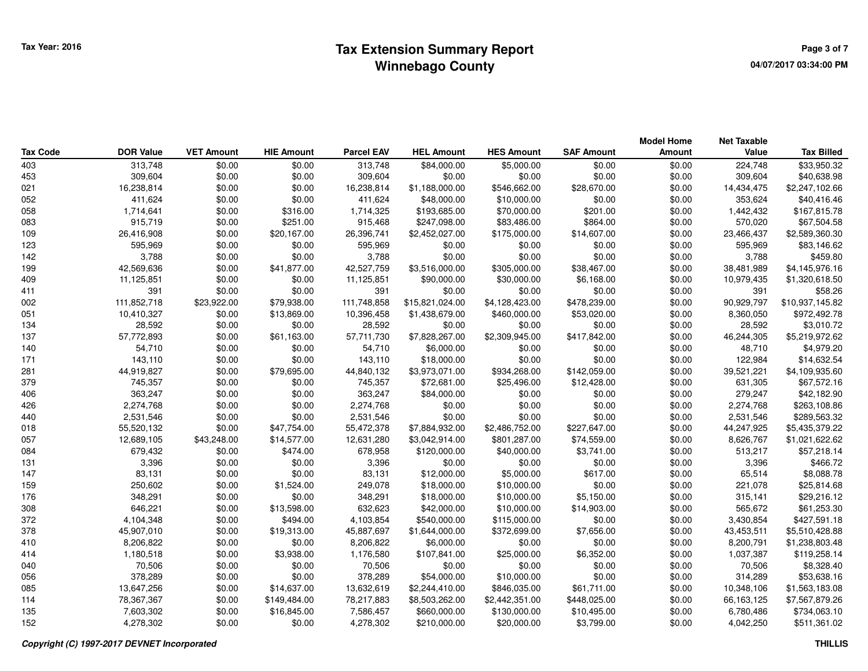|                 |                  |                   |                   |                   |                   |                   |                   | <b>Model Home</b> | <b>Net Taxable</b> |                   |
|-----------------|------------------|-------------------|-------------------|-------------------|-------------------|-------------------|-------------------|-------------------|--------------------|-------------------|
| <b>Tax Code</b> | <b>DOR Value</b> | <b>VET Amount</b> | <b>HIE Amount</b> | <b>Parcel EAV</b> | <b>HEL Amount</b> | <b>HES Amount</b> | <b>SAF Amount</b> | Amount            | Value              | <b>Tax Billed</b> |
| 403             | 313,748          | \$0.00            | \$0.00            | 313,748           | \$84,000.00       | \$5,000.00        | \$0.00            | \$0.00            | 224,748            | \$33,950.32       |
| 453             | 309,604          | \$0.00            | \$0.00            | 309,604           | \$0.00            | \$0.00            | \$0.00            | \$0.00            | 309,604            | \$40,638.98       |
| 021             | 16,238,814       | \$0.00            | \$0.00            | 16,238,814        | \$1,188,000.00    | \$546,662.00      | \$28,670.00       | \$0.00            | 14,434,475         | \$2,247,102.66    |
| 052             | 411,624          | \$0.00            | \$0.00            | 411,624           | \$48,000.00       | \$10,000.00       | \$0.00            | \$0.00            | 353,624            | \$40,416.46       |
| 058             | 1,714,641        | \$0.00            | \$316.00          | 1,714,325         | \$193,685.00      | \$70,000.00       | \$201.00          | \$0.00            | 1,442,432          | \$167,815.78      |
| 083             | 915,719          | \$0.00            | \$251.00          | 915,468           | \$247,098.00      | \$83,486.00       | \$864.00          | \$0.00            | 570,020            | \$67,504.58       |
| 109             | 26,416,908       | \$0.00            | \$20,167.00       | 26,396,741        | \$2,452,027.00    | \$175,000.00      | \$14,607.00       | \$0.00            | 23,466,437         | \$2,589,360.30    |
| 123             | 595,969          | \$0.00            | \$0.00            | 595,969           | \$0.00            | \$0.00            | \$0.00            | \$0.00            | 595,969            | \$83,146.62       |
| 142             | 3,788            | \$0.00            | \$0.00            | 3,788             | \$0.00            | \$0.00            | \$0.00            | \$0.00            | 3,788              | \$459.80          |
| 199             | 42,569,636       | \$0.00            | \$41,877.00       | 42,527,759        | \$3,516,000.00    | \$305,000.00      | \$38,467.00       | \$0.00            | 38,481,989         | \$4,145,976.16    |
| 409             | 11,125,851       | \$0.00            | \$0.00            | 11,125,851        | \$90,000.00       | \$30,000.00       | \$6,168.00        | \$0.00            | 10,979,435         | \$1,320,618.50    |
| 411             | 391              | \$0.00            | \$0.00            | 391               | \$0.00            | \$0.00            | \$0.00            | \$0.00            | 391                | \$58.26           |
| 002             | 111,852,718      | \$23,922.00       | \$79,938.00       | 111,748,858       | \$15,821,024.00   | \$4,128,423.00    | \$478,239.00      | \$0.00            | 90,929,797         | \$10,937,145.82   |
| 051             | 10,410,327       | \$0.00            | \$13,869.00       | 10,396,458        | \$1,438,679.00    | \$460,000.00      | \$53,020.00       | \$0.00            | 8,360,050          | \$972,492.78      |
| 134             | 28,592           | \$0.00            | \$0.00            | 28,592            | \$0.00            | \$0.00            | \$0.00            | \$0.00            | 28,592             | \$3,010.72        |
| 137             | 57,772,893       | \$0.00            | \$61,163.00       | 57,711,730        | \$7,828,267.00    | \$2,309,945.00    | \$417,842.00      | \$0.00            | 46,244,305         | \$5,219,972.62    |
| 140             | 54,710           | \$0.00            | \$0.00            | 54,710            | \$6,000.00        | \$0.00            | \$0.00            | \$0.00            | 48,710             | \$4,979.20        |
| 171             | 143,110          | \$0.00            | \$0.00            | 143,110           | \$18,000.00       | \$0.00            | \$0.00            | \$0.00            | 122,984            | \$14,632.54       |
| 281             | 44,919,827       | \$0.00            | \$79,695.00       | 44,840,132        | \$3,973,071.00    | \$934,268.00      | \$142,059.00      | \$0.00            | 39,521,221         | \$4,109,935.60    |
| 379             | 745,357          | \$0.00            | \$0.00            | 745,357           | \$72,681.00       | \$25,496.00       | \$12,428.00       | \$0.00            | 631,305            | \$67,572.16       |
| 406             | 363,247          | \$0.00            | \$0.00            | 363,247           | \$84,000.00       | \$0.00            | \$0.00            | \$0.00            | 279,247            | \$42,182.90       |
| 426             | 2,274,768        | \$0.00            | \$0.00            | 2,274,768         | \$0.00            | \$0.00            | \$0.00            | \$0.00            | 2,274,768          | \$263,108.86      |
| 440             | 2,531,546        | \$0.00            | \$0.00            | 2,531,546         | \$0.00            | \$0.00            | \$0.00            | \$0.00            | 2,531,546          | \$289,563.32      |
| 018             | 55,520,132       | \$0.00            | \$47,754.00       | 55,472,378        | \$7,884,932.00    | \$2,486,752.00    | \$227,647.00      | \$0.00            | 44,247,925         | \$5,435,379.22    |
| 057             | 12,689,105       | \$43,248.00       | \$14,577.00       | 12,631,280        | \$3,042,914.00    | \$801,287.00      | \$74,559.00       | \$0.00            | 8,626,767          | \$1,021,622.62    |
| 084             | 679,432          | \$0.00            | \$474.00          | 678,958           | \$120,000.00      | \$40,000.00       | \$3,741.00        | \$0.00            | 513,217            | \$57,218.14       |
| 131             | 3,396            | \$0.00            | \$0.00            | 3,396             | \$0.00            | \$0.00            | \$0.00            | \$0.00            | 3,396              | \$466.72          |
| 147             | 83,131           | \$0.00            | \$0.00            | 83,131            | \$12,000.00       | \$5,000.00        | \$617.00          | \$0.00            | 65,514             | \$8,088.78        |
| 159             | 250,602          | \$0.00            | \$1,524.00        | 249,078           | \$18,000.00       | \$10,000.00       | \$0.00            | \$0.00            | 221,078            | \$25,814.68       |
| 176             | 348,291          | \$0.00            | \$0.00            | 348,291           | \$18,000.00       | \$10,000.00       | \$5,150.00        | \$0.00            | 315,141            | \$29,216.12       |
| 308             | 646,221          | \$0.00            | \$13,598.00       | 632,623           | \$42,000.00       | \$10,000.00       | \$14,903.00       | \$0.00            | 565,672            | \$61,253.30       |
| 372             | 4,104,348        | \$0.00            | \$494.00          | 4,103,854         | \$540,000.00      | \$115,000.00      | \$0.00            | \$0.00            | 3,430,854          | \$427,591.18      |
| 378             | 45,907,010       | \$0.00            | \$19,313.00       | 45,887,697        | \$1,644,000.00    | \$372,699.00      | \$7,656.00        | \$0.00            | 43,453,511         | \$5,510,428.88    |
| 410             | 8,206,822        | \$0.00            | \$0.00            | 8,206,822         | \$6,000.00        | \$0.00            | \$0.00            | \$0.00            | 8,200,791          | \$1,238,803.48    |
| 414             | 1,180,518        | \$0.00            | \$3,938.00        | 1,176,580         | \$107,841.00      | \$25,000.00       | \$6,352.00        | \$0.00            | 1,037,387          | \$119,258.14      |
| 040             | 70,506           | \$0.00            | \$0.00            | 70,506            | \$0.00            | \$0.00            | \$0.00            | \$0.00            | 70,506             | \$8,328.40        |
| 056             | 378,289          | \$0.00            | \$0.00            | 378,289           | \$54,000.00       | \$10,000.00       | \$0.00            | \$0.00            | 314,289            | \$53,638.16       |
| 085             | 13,647,256       | \$0.00            | \$14,637.00       | 13,632,619        | \$2,244,410.00    | \$846,035.00      | \$61,711.00       | \$0.00            | 10,348,106         | \$1,563,183.08    |
| 114             | 78,367,367       | \$0.00            | \$149,484.00      | 78,217,883        | \$8,503,262.00    | \$2,442,351.00    | \$448,025.00      | \$0.00            | 66,163,125         | \$7,567,879.26    |
| 135             | 7,603,302        | \$0.00            | \$16,845.00       | 7,586,457         | \$660,000.00      | \$130,000.00      | \$10,495.00       | \$0.00            | 6,780,486          | \$734,063.10      |
| 152             | 4,278,302        | \$0.00            | \$0.00            | 4,278,302         | \$210,000.00      | \$20,000.00       | \$3,799.00        | \$0.00            | 4,042,250          | \$511,361.02      |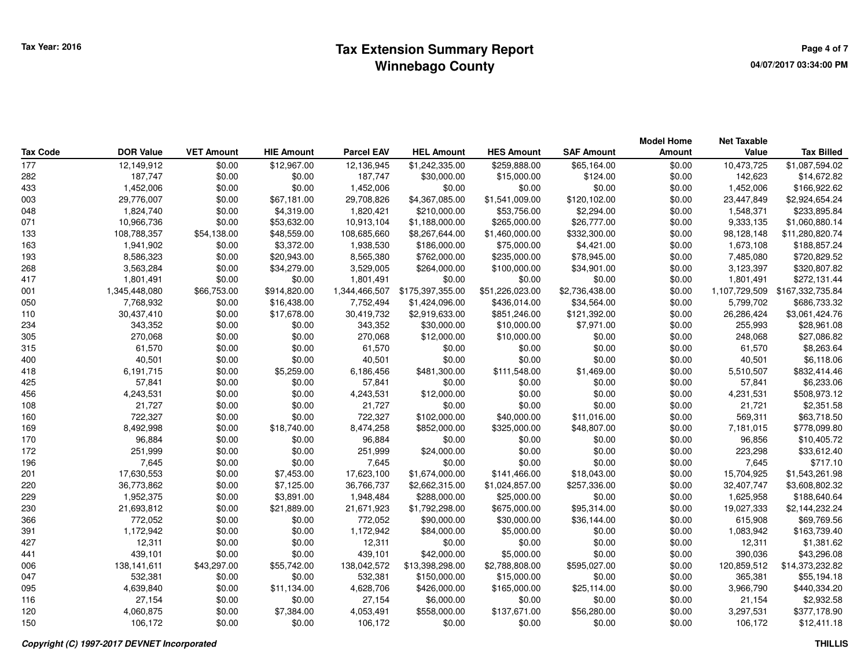|                 |                  |                   |                   |                   |                   |                   |                   | <b>Model Home</b> | <b>Net Taxable</b> |                   |
|-----------------|------------------|-------------------|-------------------|-------------------|-------------------|-------------------|-------------------|-------------------|--------------------|-------------------|
| <b>Tax Code</b> | <b>DOR Value</b> | <b>VET Amount</b> | <b>HIE Amount</b> | <b>Parcel EAV</b> | <b>HEL Amount</b> | <b>HES Amount</b> | <b>SAF Amount</b> | Amount            | Value              | <b>Tax Billed</b> |
| 177             | 12,149,912       | \$0.00            | \$12,967.00       | 12,136,945        | \$1,242,335.00    | \$259,888.00      | \$65,164.00       | \$0.00            | 10,473,725         | \$1,087,594.02    |
| 282             | 187,747          | \$0.00            | \$0.00            | 187,747           | \$30,000.00       | \$15,000.00       | \$124.00          | \$0.00            | 142,623            | \$14,672.82       |
| 433             | 1,452,006        | \$0.00            | \$0.00            | 1,452,006         | \$0.00            | \$0.00            | \$0.00            | \$0.00            | 1,452,006          | \$166,922.62      |
| 003             | 29,776,007       | \$0.00            | \$67,181.00       | 29,708,826        | \$4,367,085.00    | \$1,541,009.00    | \$120,102.00      | \$0.00            | 23,447,849         | \$2,924,654.24    |
| 048             | 1,824,740        | \$0.00            | \$4,319.00        | 1,820,421         | \$210,000.00      | \$53,756.00       | \$2,294.00        | \$0.00            | 1,548,371          | \$233,895.84      |
| 071             | 10,966,736       | \$0.00            | \$53,632.00       | 10,913,104        | \$1,188,000.00    | \$265,000.00      | \$26,777.00       | \$0.00            | 9,333,135          | \$1,060,880.14    |
| 133             | 108,788,357      | \$54,138.00       | \$48,559.00       | 108,685,660       | \$8,267,644.00    | \$1,460,000.00    | \$332,300.00      | \$0.00            | 98,128,148         | \$11,280,820.74   |
| 163             | 1,941,902        | \$0.00            | \$3,372.00        | 1,938,530         | \$186,000.00      | \$75,000.00       | \$4,421.00        | \$0.00            | 1,673,108          | \$188,857.24      |
| 193             | 8,586,323        | \$0.00            | \$20,943.00       | 8,565,380         | \$762,000.00      | \$235,000.00      | \$78,945.00       | \$0.00            | 7,485,080          | \$720,829.52      |
| 268             | 3,563,284        | \$0.00            | \$34,279.00       | 3,529,005         | \$264,000.00      | \$100,000.00      | \$34,901.00       | \$0.00            | 3,123,397          | \$320,807.82      |
| 417             | 1,801,491        | \$0.00            | \$0.00            | 1,801,491         | \$0.00            | \$0.00            | \$0.00            | \$0.00            | 1,801,491          | \$272,131.44      |
| 001             | 1,345,448,080    | \$66,753.00       | \$914,820.00      | 1,344,466,507     | \$175,397,355.00  | \$51,226,023.00   | \$2,736,438.00    | \$0.00            | 1,107,729,509      | \$167,332,735.84  |
| 050             | 7,768,932        | \$0.00            | \$16,438.00       | 7,752,494         | \$1,424,096.00    | \$436,014.00      | \$34,564.00       | \$0.00            | 5,799,702          | \$686,733.32      |
| 110             | 30,437,410       | \$0.00            | \$17,678.00       | 30,419,732        | \$2,919,633.00    | \$851,246.00      | \$121,392.00      | \$0.00            | 26,286,424         | \$3,061,424.76    |
| 234             | 343,352          | \$0.00            | \$0.00            | 343,352           | \$30,000.00       | \$10,000.00       | \$7,971.00        | \$0.00            | 255,993            | \$28,961.08       |
| 305             | 270,068          | \$0.00            | \$0.00            | 270,068           | \$12,000.00       | \$10,000.00       | \$0.00            | \$0.00            | 248,068            | \$27,086.82       |
| 315             | 61,570           | \$0.00            | \$0.00            | 61,570            | \$0.00            | \$0.00            | \$0.00            | \$0.00            | 61,570             | \$8,263.64        |
| 400             | 40,501           | \$0.00            | \$0.00            | 40,501            | \$0.00            | \$0.00            | \$0.00            | \$0.00            | 40,501             | \$6,118.06        |
| 418             | 6,191,715        | \$0.00            | \$5,259.00        | 6,186,456         | \$481,300.00      | \$111,548.00      | \$1,469.00        | \$0.00            | 5,510,507          | \$832,414.46      |
| 425             | 57,841           | \$0.00            | \$0.00            | 57,841            | \$0.00            | \$0.00            | \$0.00            | \$0.00            | 57,841             | \$6,233.06        |
| 456             | 4,243,531        | \$0.00            | \$0.00            | 4,243,531         | \$12,000.00       | \$0.00            | \$0.00            | \$0.00            | 4,231,531          | \$508,973.12      |
| 108             | 21,727           | \$0.00            | \$0.00            | 21,727            | \$0.00            | \$0.00            | \$0.00            | \$0.00            | 21,721             | \$2,351.58        |
| 160             | 722,327          | \$0.00            | \$0.00            | 722,327           | \$102,000.00      | \$40,000.00       | \$11,016.00       | \$0.00            | 569,311            | \$63,718.50       |
| 169             | 8,492,998        | \$0.00            | \$18,740.00       | 8,474,258         | \$852,000.00      | \$325,000.00      | \$48,807.00       | \$0.00            | 7,181,015          | \$778,099.80      |
| 170             | 96,884           | \$0.00            | \$0.00            | 96,884            | \$0.00            | \$0.00            | \$0.00            | \$0.00            | 96,856             | \$10,405.72       |
| 172             | 251,999          | \$0.00            | \$0.00            | 251,999           | \$24,000.00       | \$0.00            | \$0.00            | \$0.00            | 223,298            | \$33,612.40       |
| 196             | 7,645            | \$0.00            | \$0.00            | 7,645             | \$0.00            | \$0.00            | \$0.00            | \$0.00            | 7,645              | \$717.10          |
| 201             | 17,630,553       | \$0.00            | \$7,453.00        | 17,623,100        | \$1,674,000.00    | \$141,466.00      | \$18,043.00       | \$0.00            | 15,704,925         | \$1,543,261.98    |
| 220             | 36,773,862       | \$0.00            | \$7,125.00        | 36,766,737        | \$2,662,315.00    | \$1,024,857.00    | \$257,336.00      | \$0.00            | 32,407,747         | \$3,608,802.32    |
| 229             | 1,952,375        | \$0.00            | \$3,891.00        | 1,948,484         | \$288,000.00      | \$25,000.00       | \$0.00            | \$0.00            | 1,625,958          | \$188,640.64      |
| 230             | 21,693,812       | \$0.00            | \$21,889.00       | 21,671,923        | \$1,792,298.00    | \$675,000.00      | \$95,314.00       | \$0.00            | 19,027,333         | \$2,144,232.24    |
| 366             | 772,052          | \$0.00            | \$0.00            | 772,052           | \$90,000.00       | \$30,000.00       | \$36,144.00       | \$0.00            | 615,908            | \$69,769.56       |
| 391             | 1,172,942        | \$0.00            | \$0.00            | 1,172,942         | \$84,000.00       | \$5,000.00        | \$0.00            | \$0.00            | 1,083,942          | \$163,739.40      |
| 427             | 12,311           | \$0.00            | \$0.00            | 12,311            | \$0.00            | \$0.00            | \$0.00            | \$0.00            | 12,311             | \$1,381.62        |
| 441             | 439,101          | \$0.00            | \$0.00            | 439,101           | \$42,000.00       | \$5,000.00        | \$0.00            | \$0.00            | 390,036            | \$43,296.08       |
| 006             | 138, 141, 611    | \$43,297.00       | \$55,742.00       | 138,042,572       | \$13,398,298.00   | \$2,788,808.00    | \$595,027.00      | \$0.00            | 120,859,512        | \$14,373,232.82   |
| 047             | 532,381          | \$0.00            | \$0.00            | 532,381           | \$150,000.00      | \$15,000.00       | \$0.00            | \$0.00            | 365,381            | \$55,194.18       |
| 095             | 4,639,840        | \$0.00            | \$11,134.00       | 4,628,706         | \$426,000.00      | \$165,000.00      | \$25,114.00       | \$0.00            | 3,966,790          | \$440,334.20      |
| 116             | 27,154           | \$0.00            | \$0.00            | 27,154            | \$6,000.00        | \$0.00            | \$0.00            | \$0.00            | 21,154             | \$2,932.58        |
| 120             | 4,060,875        | \$0.00            | \$7,384.00        | 4,053,491         | \$558,000.00      | \$137,671.00      | \$56,280.00       | \$0.00            | 3,297,531          | \$377,178.90      |
| 150             | 106,172          | \$0.00            | \$0.00            | 106.172           | \$0.00            | \$0.00            | \$0.00            | \$0.00            | 106.172            | \$12,411.18       |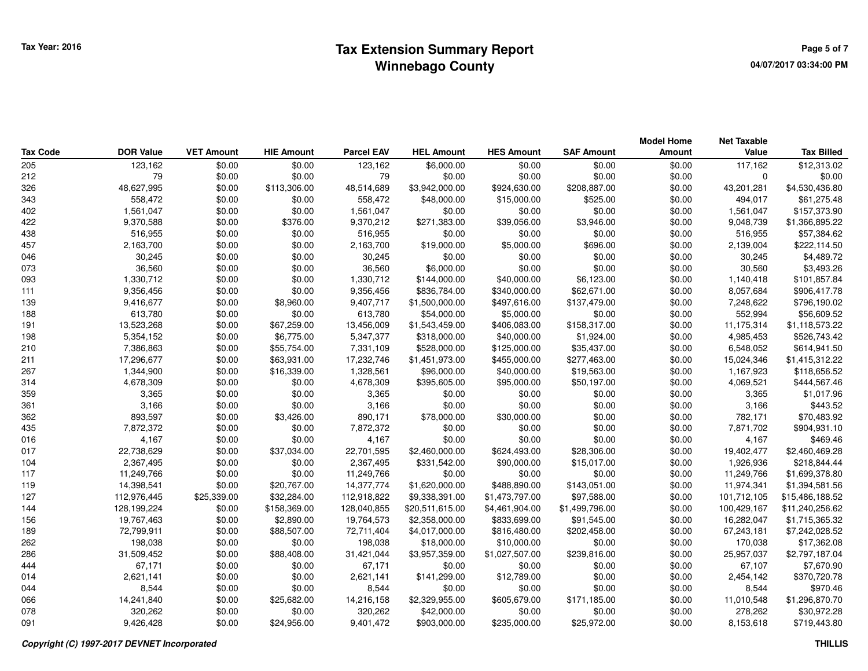|                 |                  |                   |                   |                   |                   |                   |                   | <b>Model Home</b> | Net Taxable |                   |
|-----------------|------------------|-------------------|-------------------|-------------------|-------------------|-------------------|-------------------|-------------------|-------------|-------------------|
| <b>Tax Code</b> | <b>DOR Value</b> | <b>VET Amount</b> | <b>HIE Amount</b> | <b>Parcel EAV</b> | <b>HEL Amount</b> | <b>HES Amount</b> | <b>SAF Amount</b> | <b>Amount</b>     | Value       | <b>Tax Billed</b> |
| 205             | 123,162          | \$0.00            | \$0.00            | 123,162           | \$6,000.00        | \$0.00            | \$0.00            | \$0.00            | 117,162     | \$12,313.02       |
| 212             | 79               | \$0.00            | \$0.00            | 79                | \$0.00            | \$0.00            | \$0.00            | \$0.00            | $\mathbf 0$ | \$0.00            |
| 326             | 48,627,995       | \$0.00            | \$113,306.00      | 48,514,689        | \$3,942,000.00    | \$924,630.00      | \$208,887.00      | \$0.00            | 43,201,281  | \$4,530,436.80    |
| 343             | 558,472          | \$0.00            | \$0.00            | 558,472           | \$48,000.00       | \$15,000.00       | \$525.00          | \$0.00            | 494,017     | \$61,275.48       |
| 402             | 1,561,047        | \$0.00            | \$0.00            | 1,561,047         | \$0.00            | \$0.00            | \$0.00            | \$0.00            | 1,561,047   | \$157,373.90      |
| 422             | 9,370,588        | \$0.00            | \$376.00          | 9,370,212         | \$271,383.00      | \$39,056.00       | \$3,946.00        | \$0.00            | 9,048,739   | \$1,366,895.22    |
| 438             | 516,955          | \$0.00            | \$0.00            | 516,955           | \$0.00            | \$0.00            | \$0.00            | \$0.00            | 516,955     | \$57,384.62       |
| 457             | 2,163,700        | \$0.00            | \$0.00            | 2,163,700         | \$19,000.00       | \$5,000.00        | \$696.00          | \$0.00            | 2,139,004   | \$222,114.50      |
| 046             | 30,245           | \$0.00            | \$0.00            | 30,245            | \$0.00            | \$0.00            | \$0.00            | \$0.00            | 30,245      | \$4,489.72        |
| 073             | 36,560           | \$0.00            | \$0.00            | 36,560            | \$6,000.00        | \$0.00            | \$0.00            | \$0.00            | 30,560      | \$3,493.26        |
| 093             | 1,330,712        | \$0.00            | \$0.00            | 1,330,712         | \$144,000.00      | \$40,000.00       | \$6,123.00        | \$0.00            | 1,140,418   | \$101,857.84      |
| 111             | 9,356,456        | \$0.00            | \$0.00            | 9,356,456         | \$836,784.00      | \$340,000.00      | \$62,671.00       | \$0.00            | 8,057,684   | \$906,417.78      |
| 139             | 9,416,677        | \$0.00            | \$8,960.00        | 9,407,717         | \$1,500,000.00    | \$497,616.00      | \$137,479.00      | \$0.00            | 7,248,622   | \$796,190.02      |
| 188             | 613,780          | \$0.00            | \$0.00            | 613,780           | \$54,000.00       | \$5,000.00        | \$0.00            | \$0.00            | 552,994     | \$56,609.52       |
| 191             | 13,523,268       | \$0.00            | \$67,259.00       | 13,456,009        | \$1,543,459.00    | \$406,083.00      | \$158,317.00      | \$0.00            | 11,175,314  | \$1,118,573.22    |
| 198             | 5,354,152        | \$0.00            | \$6,775.00        | 5,347,377         | \$318,000.00      | \$40,000.00       | \$1,924.00        | \$0.00            | 4,985,453   | \$526,743.42      |
| 210             | 7,386,863        | \$0.00            | \$55,754.00       | 7,331,109         | \$528,000.00      | \$125,000.00      | \$35,437.00       | \$0.00            | 6,548,052   | \$614,941.50      |
| 211             | 17,296,677       | \$0.00            | \$63,931.00       | 17,232,746        | \$1,451,973.00    | \$455,000.00      | \$277,463.00      | \$0.00            | 15,024,346  | \$1,415,312.22    |
| 267             | 1,344,900        | \$0.00            | \$16,339.00       | 1,328,561         | \$96,000.00       | \$40,000.00       | \$19,563.00       | \$0.00            | 1,167,923   | \$118,656.52      |
| 314             | 4,678,309        | \$0.00            | \$0.00            | 4,678,309         | \$395,605.00      | \$95,000.00       | \$50,197.00       | \$0.00            | 4,069,521   | \$444,567.46      |
| 359             | 3,365            | \$0.00            | \$0.00            | 3,365             | \$0.00            | \$0.00            | \$0.00            | \$0.00            | 3,365       | \$1,017.96        |
| 361             | 3,166            | \$0.00            | \$0.00            | 3,166             | \$0.00            | \$0.00            | \$0.00            | \$0.00            | 3,166       | \$443.52          |
| 362             | 893,597          | \$0.00            | \$3,426.00        | 890,171           | \$78,000.00       | \$30,000.00       | \$0.00            | \$0.00            | 782,171     | \$70,483.92       |
| 435             | 7,872,372        | \$0.00            | \$0.00            | 7,872,372         | \$0.00            | \$0.00            | \$0.00            | \$0.00            | 7,871,702   | \$904,931.10      |
| 016             | 4,167            | \$0.00            | \$0.00            | 4,167             | \$0.00            | \$0.00            | \$0.00            | \$0.00            | 4,167       | \$469.46          |
| 017             | 22,738,629       | \$0.00            | \$37,034.00       | 22,701,595        | \$2,460,000.00    | \$624,493.00      | \$28,306.00       | \$0.00            | 19,402,477  | \$2,460,469.28    |
| 104             | 2,367,495        | \$0.00            | \$0.00            | 2,367,495         | \$331,542.00      | \$90,000.00       | \$15,017.00       | \$0.00            | 1,926,936   | \$218,844.44      |
| 117             | 11,249,766       | \$0.00            | \$0.00            | 11,249,766        | \$0.00            | \$0.00            | \$0.00            | \$0.00            | 11,249,766  | \$1,699,378.80    |
| 119             | 14,398,541       | \$0.00            | \$20,767.00       | 14,377,774        | \$1,620,000.00    | \$488,890.00      | \$143,051.00      | \$0.00            | 11,974,341  | \$1,394,581.56    |
| 127             | 112,976,445      | \$25,339.00       | \$32,284.00       | 112,918,822       | \$9,338,391.00    | \$1,473,797.00    | \$97,588.00       | \$0.00            | 101,712,105 | \$15,486,188.52   |
| 144             | 128,199,224      | \$0.00            | \$158,369.00      | 128,040,855       | \$20,511,615.00   | \$4,461,904.00    | \$1,499,796.00    | \$0.00            | 100,429,167 | \$11,240,256.62   |
| 156             | 19,767,463       | \$0.00            | \$2,890.00        | 19,764,573        | \$2,358,000.00    | \$833,699.00      | \$91,545.00       | \$0.00            | 16,282,047  | \$1,715,365.32    |
| 189             | 72,799,911       | \$0.00            | \$88,507.00       | 72,711,404        | \$4,017,000.00    | \$816,480.00      | \$202,458.00      | \$0.00            | 67,243,181  | \$7,242,028.52    |
| 262             | 198,038          | \$0.00            | \$0.00            | 198,038           | \$18,000.00       | \$10,000.00       | \$0.00            | \$0.00            | 170,038     | \$17,362.08       |
| 286             | 31,509,452       | \$0.00            | \$88,408.00       | 31,421,044        | \$3,957,359.00    | \$1,027,507.00    | \$239,816.00      | \$0.00            | 25,957,037  | \$2,797,187.04    |
| 444             | 67,171           | \$0.00            | \$0.00            | 67,171            | \$0.00            | \$0.00            | \$0.00            | \$0.00            | 67,107      | \$7,670.90        |
| 014             | 2,621,141        | \$0.00            | \$0.00            | 2,621,141         | \$141,299.00      | \$12,789.00       | \$0.00            | \$0.00            | 2,454,142   | \$370,720.78      |
| 044             | 8,544            | \$0.00            | \$0.00            | 8,544             | \$0.00            | \$0.00            | \$0.00            | \$0.00            | 8,544       | \$970.46          |
| 066             | 14,241,840       | \$0.00            | \$25,682.00       | 14,216,158        | \$2,329,955.00    | \$605,679.00      | \$171,185.00      | \$0.00            | 11,010,548  | \$1,296,870.70    |
| 078             | 320,262          | \$0.00            | \$0.00            | 320,262           | \$42,000.00       | \$0.00            | \$0.00            | \$0.00            | 278,262     | \$30,972.28       |
| 091             | 9,426,428        | \$0.00            | \$24,956.00       | 9,401,472         | \$903,000.00      | \$235,000.00      | \$25,972.00       | \$0.00            | 8,153,618   | \$719,443.80      |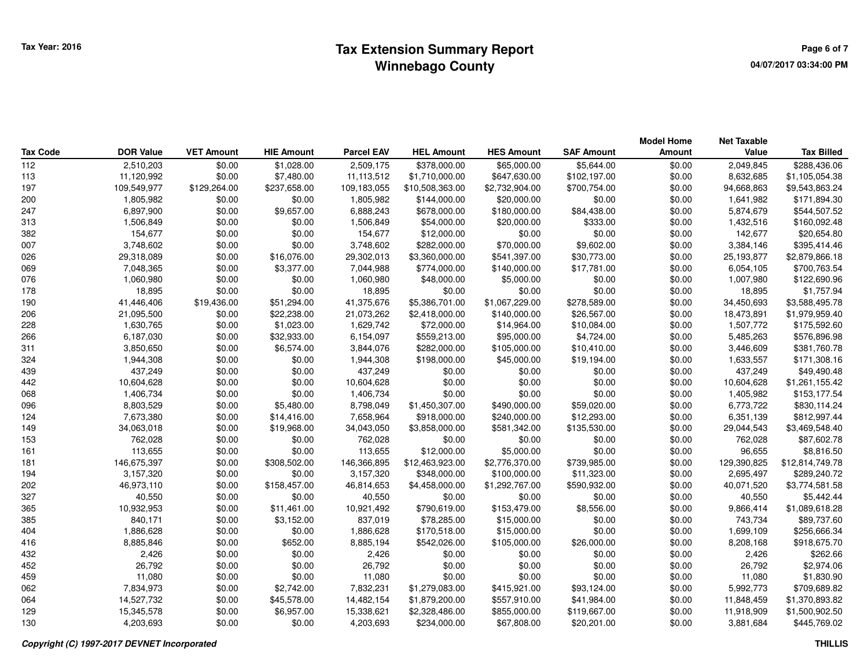## **Tax Extension Summary Report CONSCRUPER ASSESSMENT ASSESSMENT RAGE 6 OF 7 Page 6 of 7 Winnebago County**

|                 |                  |                   |                   |                   |                   |                   |                   | <b>Model Home</b> | <b>Net Taxable</b> |                   |
|-----------------|------------------|-------------------|-------------------|-------------------|-------------------|-------------------|-------------------|-------------------|--------------------|-------------------|
| <b>Tax Code</b> | <b>DOR Value</b> | <b>VET Amount</b> | <b>HIE Amount</b> | <b>Parcel EAV</b> | <b>HEL Amount</b> | <b>HES Amount</b> | <b>SAF Amount</b> | Amount            | Value              | <b>Tax Billed</b> |
| 112             | 2,510,203        | \$0.00            | \$1,028.00        | 2,509,175         | \$378,000.00      | \$65,000.00       | \$5,644.00        | \$0.00            | 2,049,845          | \$288,436.06      |
| 113             | 11,120,992       | \$0.00            | \$7,480.00        | 11,113,512        | \$1,710,000.00    | \$647,630.00      | \$102,197.00      | \$0.00            | 8,632,685          | \$1,105,054.38    |
| 197             | 109,549,977      | \$129,264.00      | \$237,658.00      | 109,183,055       | \$10,508,363.00   | \$2,732,904.00    | \$700,754.00      | \$0.00            | 94,668,863         | \$9,543,863.24    |
| 200             | 1,805,982        | \$0.00            | \$0.00            | 1,805,982         | \$144,000.00      | \$20,000.00       | \$0.00            | \$0.00            | 1,641,982          | \$171,894.30      |
| 247             | 6,897,900        | \$0.00            | \$9,657.00        | 6,888,243         | \$678,000.00      | \$180,000.00      | \$84,438.00       | \$0.00            | 5,874,679          | \$544,507.52      |
| 313             | 1,506,849        | \$0.00            | \$0.00            | 1,506,849         | \$54,000.00       | \$20,000.00       | \$333.00          | \$0.00            | 1,432,516          | \$160,092.48      |
| 382             | 154,677          | \$0.00            | \$0.00            | 154,677           | \$12,000.00       | \$0.00            | \$0.00            | \$0.00            | 142,677            | \$20,654.80       |
| 007             | 3,748,602        | \$0.00            | \$0.00            | 3,748,602         | \$282,000.00      | \$70,000.00       | \$9,602.00        | \$0.00            | 3,384,146          | \$395,414.46      |
| 026             | 29,318,089       | \$0.00            | \$16,076.00       | 29,302,013        | \$3,360,000.00    | \$541,397.00      | \$30,773.00       | \$0.00            | 25,193,877         | \$2,879,866.18    |
| 069             | 7,048,365        | \$0.00            | \$3,377.00        | 7,044,988         | \$774,000.00      | \$140,000.00      | \$17,781.00       | \$0.00            | 6,054,105          | \$700,763.54      |
| 076             | 1,060,980        | \$0.00            | \$0.00            | 1,060,980         | \$48,000.00       | \$5,000.00        | \$0.00            | \$0.00            | 1,007,980          | \$122,690.96      |
| 178             | 18,895           | \$0.00            | \$0.00            | 18,895            | \$0.00            | \$0.00            | \$0.00            | \$0.00            | 18,895             | \$1,757.94        |
| 190             | 41,446,406       | \$19,436.00       | \$51,294.00       | 41,375,676        | \$5,386,701.00    | \$1,067,229.00    | \$278,589.00      | \$0.00            | 34,450,693         | \$3,588,495.78    |
| 206             | 21,095,500       | \$0.00            | \$22,238.00       | 21,073,262        | \$2,418,000.00    | \$140,000.00      | \$26,567.00       | \$0.00            | 18,473,891         | \$1,979,959.40    |
| 228             | 1,630,765        | \$0.00            | \$1,023.00        | 1,629,742         | \$72,000.00       | \$14,964.00       | \$10,084.00       | \$0.00            | 1,507,772          | \$175,592.60      |
| 266             | 6,187,030        | \$0.00            | \$32,933.00       | 6,154,097         | \$559,213.00      | \$95,000.00       | \$4,724.00        | \$0.00            | 5,485,263          | \$576,896.98      |
| 311             | 3,850,650        | \$0.00            | \$6,574.00        | 3,844,076         | \$282,000.00      | \$105,000.00      | \$10,410.00       | \$0.00            | 3,446,609          | \$381,760.78      |
| 324             | 1,944,308        | \$0.00            | \$0.00            | 1,944,308         | \$198,000.00      | \$45,000.00       | \$19,194.00       | \$0.00            | 1,633,557          | \$171,308.16      |
| 439             | 437,249          | \$0.00            | \$0.00            | 437,249           | \$0.00            | \$0.00            | \$0.00            | \$0.00            | 437,249            | \$49,490.48       |
| 442             | 10,604,628       | \$0.00            | \$0.00            | 10,604,628        | \$0.00            | \$0.00            | \$0.00            | \$0.00            | 10,604,628         | \$1,261,155.42    |
| 068             | 1,406,734        | \$0.00            | \$0.00            | 1,406,734         | \$0.00            | \$0.00            | \$0.00            | \$0.00            | 1,405,982          | \$153,177.54      |
| 096             | 8,803,529        | \$0.00            | \$5,480.00        | 8,798,049         | \$1,450,307.00    | \$490,000.00      | \$59,020.00       | \$0.00            | 6,773,722          | \$830,114.24      |
| 124             | 7,673,380        | \$0.00            | \$14,416.00       | 7,658,964         | \$918,000.00      | \$240,000.00      | \$12,293.00       | \$0.00            | 6,351,139          | \$812,997.44      |
| 149             | 34,063,018       | \$0.00            | \$19,968.00       | 34,043,050        | \$3,858,000.00    | \$581,342.00      | \$135,530.00      | \$0.00            | 29,044,543         | \$3,469,548.40    |
| 153             | 762,028          | \$0.00            | \$0.00            | 762,028           | \$0.00            | \$0.00            | \$0.00            | \$0.00            | 762,028            | \$87,602.78       |
| 161             | 113,655          | \$0.00            | \$0.00            | 113,655           | \$12,000.00       | \$5,000.00        | \$0.00            | \$0.00            | 96,655             | \$8,816.50        |
| 181             | 146,675,397      | \$0.00            | \$308,502.00      | 146,366,895       | \$12,463,923.00   | \$2,776,370.00    | \$739,985.00      | \$0.00            | 129,390,825        | \$12,814,749.78   |
| 194             | 3,157,320        | \$0.00            | \$0.00            | 3,157,320         | \$348,000.00      | \$100,000.00      | \$11,323.00       | \$0.00            | 2,695,497          | \$289,240.72      |
| 202             | 46,973,110       | \$0.00            | \$158,457.00      | 46,814,653        | \$4,458,000.00    | \$1,292,767.00    | \$590,932.00      | \$0.00            | 40,071,520         | \$3,774,581.58    |
| 327             | 40,550           | \$0.00            | \$0.00            | 40,550            | \$0.00            | \$0.00            | \$0.00            | \$0.00            | 40,550             | \$5,442.44        |
| 365             | 10,932,953       | \$0.00            | \$11,461.00       | 10,921,492        | \$790,619.00      | \$153,479.00      | \$8,556.00        | \$0.00            | 9,866,414          | \$1,089,618.28    |
| 385             | 840,171          | \$0.00            | \$3,152.00        | 837,019           | \$78,285.00       | \$15,000.00       | \$0.00            | \$0.00            | 743,734            | \$89,737.60       |
| 404             | 1,886,628        | \$0.00            | \$0.00            | 1,886,628         | \$170,518.00      | \$15,000.00       | \$0.00            | \$0.00            | 1,699,109          | \$256,666.34      |
| 416             | 8,885,846        | \$0.00            | \$652.00          | 8,885,194         | \$542,026.00      | \$105,000.00      | \$26,000.00       | \$0.00            | 8,208,168          | \$918,675.70      |
| 432             | 2,426            | \$0.00            | \$0.00            | 2,426             | \$0.00            | \$0.00            | \$0.00            | \$0.00            | 2,426              | \$262.66          |
| 452             | 26,792           | \$0.00            | \$0.00            | 26,792            | \$0.00            | \$0.00            | \$0.00            | \$0.00            | 26,792             | \$2,974.06        |
| 459             | 11,080           | \$0.00            | \$0.00            | 11,080            | \$0.00            | \$0.00            | \$0.00            | \$0.00            | 11,080             | \$1,830.90        |
| 062             | 7,834,973        | \$0.00            | \$2,742.00        | 7,832,231         | \$1,279,083.00    | \$415,921.00      | \$93,124.00       | \$0.00            | 5,992,773          | \$709,689.82      |
| 064             | 14,527,732       | \$0.00            | \$45,578.00       | 14,482,154        | \$1,879,200.00    | \$557,910.00      | \$41,984.00       | \$0.00            | 11,848,459         | \$1,370,893.82    |
| 129             | 15,345,578       | \$0.00            | \$6,957.00        | 15,338,621        | \$2,328,486.00    | \$855,000.00      | \$119,667.00      | \$0.00            | 11,918,909         | \$1,500,902.50    |
| 130             | 4,203,693        | \$0.00            | \$0.00            | 4.203.693         | \$234,000.00      | \$67,808,00       | \$20,201.00       | \$0.00            | 3.881.684          | \$445,769.02      |